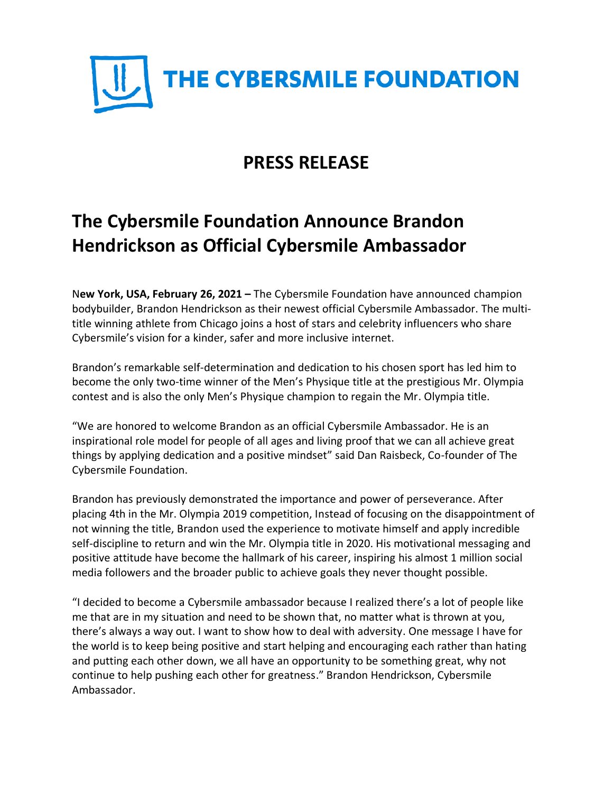

## **PRESS RELEASE**

# **The Cybersmile Foundation Announce Brandon Hendrickson as Official Cybersmile Ambassador**

N**ew York, USA, February 26, 2021 –** The Cybersmile Foundation have announced champion bodybuilder, Brandon Hendrickson as their newest official Cybersmile Ambassador. The multititle winning athlete from Chicago joins a host of stars and celebrity influencers who share Cybersmile's vision for a kinder, safer and more inclusive internet.

Brandon's remarkable self-determination and dedication to his chosen sport has led him to become the only two-time winner of the Men's Physique title at the prestigious Mr. Olympia contest and is also the only Men's Physique champion to regain the Mr. Olympia title.

"We are honored to welcome Brandon as an official Cybersmile Ambassador. He is an inspirational role model for people of all ages and living proof that we can all achieve great things by applying dedication and a positive mindset" said Dan Raisbeck, Co-founder of The Cybersmile Foundation.

Brandon has previously demonstrated the importance and power of perseverance. After placing 4th in the Mr. Olympia 2019 competition, Instead of focusing on the disappointment of not winning the title, Brandon used the experience to motivate himself and apply incredible self-discipline to return and win the Mr. Olympia title in 2020. His motivational messaging and positive attitude have become the hallmark of his career, inspiring his almost 1 million social media followers and the broader public to achieve goals they never thought possible.

"I decided to become a Cybersmile ambassador because I realized there's a lot of people like me that are in my situation and need to be shown that, no matter what is thrown at you, there's always a way out. I want to show how to deal with adversity. One message I have for the world is to keep being positive and start helping and encouraging each rather than hating and putting each other down, we all have an opportunity to be something great, why not continue to help pushing each other for greatness." Brandon Hendrickson, Cybersmile Ambassador.